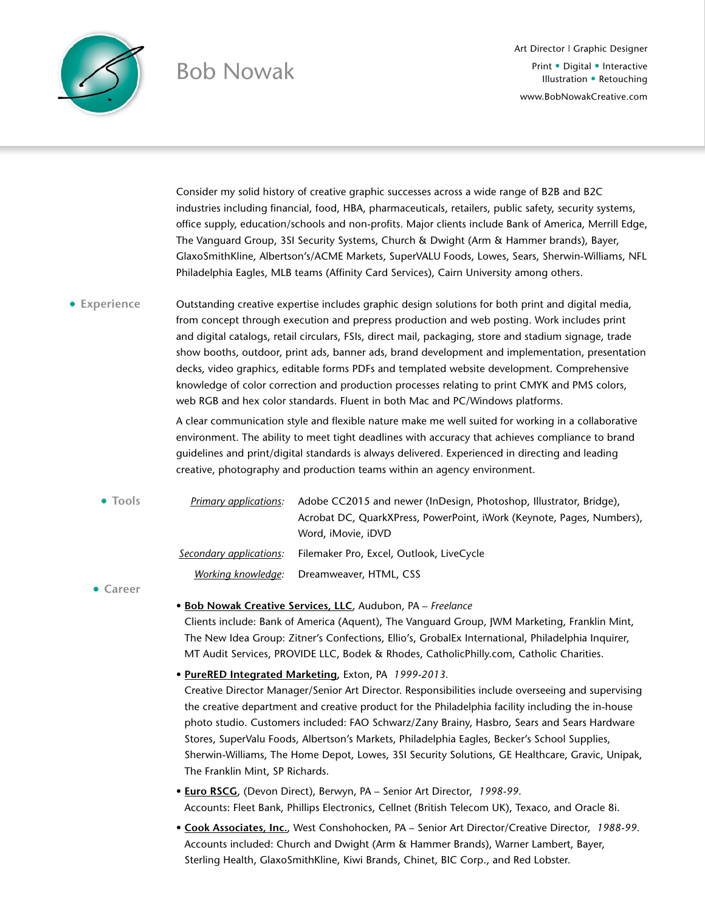

## Bob Nowak

Art Director | Graphic Designer Print • Digital • Interactive Illustration • Retouching [www.BobNowakCreative.com](http://www.bobnowakcreative.com)

Consider my solid history of creative graphic successes across a wide range of B2B and B2C industries including financial, food, HBA, pharmaceuticals, retailers, public safety, security systems, office supply, education/schools and non-profits. Major clients include Bank of America, Merrill Edge, The Vanguard Group, 3SI Security Systems, Church & Dwight (Arm & Hammer brands), Bayer, GlaxoSmithKline, Albertson's/ACME Markets, SuperVALU Foods, Lowes, Sears, Sherwin-Williams, NFL Philadelphia Eagles, MLB teams (Affinity Card Services), Cairn University among others.

Outstanding creative expertise includes graphic design solutions for both print and digital media, from concept through execution and prepress production and web posting. Work includes print and digital catalogs, retail circulars, FSIs, direct mail, packaging, store and stadium signage, trade show booths, outdoor, print ads, banner ads, brand development and implementation, presentation decks, video graphics, editable forms PDFs and templated website development. Comprehensive knowledge of color correction and production processes relating to print CMYK and PMS colors, web RGB and hex color standards. Fluent in both Mac and PC/Windows platforms. **• Experience**

> A clear communication style and flexible nature make me well suited for working in a collaborative environment. The ability to meet tight deadlines with accuracy that achieves compliance to brand guidelines and print/digital standards is always delivered. Experienced in directing and leading creative, photography and production teams within an agency environment.

*Primary applications:* Adobe CC2015 and newer (InDesign, Photoshop, Illustrator, Bridge), Acrobat DC, QuarkXPress, PowerPoint, iWork (Keynote, Pages, Numbers), Word, iMovie, iDVD *Secondary applications:* Filemaker Pro, Excel, Outlook, LiveCycle *Working knowledge:* Dreamweaver, HTML, CSS **• Tools**

**• Career**

• **Bob Nowak Creative Services, LLC**, Audubon, PA – *Freelance*

Clients include: Bank of America (Aquent), The Vanguard Group, JWM Marketing, Franklin Mint, The New Idea Group: Zitner's Confections, Ellio's, GrobalEx International, Philadelphia Inquirer, MT Audit Services, PROVIDE LLC, Bodek & Rhodes, CatholicPhilly.com, Catholic Charities.

• **PureRED Integrated Marketing,** Exton, PA *1999-2013.*

Creative Director Manager/Senior Art Director. Responsibilities include overseeing and supervising the creative department and creative product for the Philadelphia facility including the in-house photo studio. Customers included: FAO Schwarz/Zany Brainy, Hasbro, Sears and Sears Hardware Stores, SuperValu Foods, Albertson's Markets, Philadelphia Eagles, Becker's School Supplies, Sherwin-Williams, The Home Depot, Lowes, 3SI Security Solutions, GE Healthcare, Gravic, Unipak, The Franklin Mint, SP Richards.

• **Euro RSCG**, (Devon Direct), Berwyn, PA – Senior Art Director, *1998-99*. Accounts: Fleet Bank, Phillips Electronics, Cellnet (British Telecom UK), Texaco, and Oracle 8i.

• **Cook Associates, Inc.**, West Conshohocken, PA – Senior Art Director/Creative Director, *1988-99*. Accounts included: Church and Dwight (Arm & Hammer Brands), Warner Lambert, Bayer, Sterling Health, GlaxoSmithKline, Kiwi Brands, Chinet, BIC Corp., and Red Lobster.